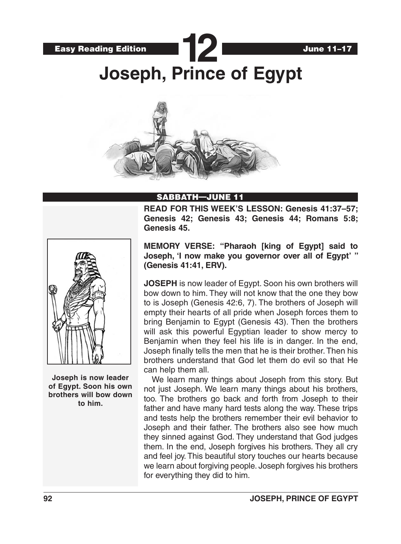



## SABBATH—JUNE 11

**READ FOR THIS WEEK'S LESSON: Genesis 41:37–57; Genesis 42; Genesis 43; Genesis 44; Romans 5:8; Genesis 45.**



**Joseph is now leader of Egypt. Soon his own brothers will bow down to him.**

**MEMORY VERSE: "Pharaoh [king of Egypt] said to Joseph, 'I now make you governor over all of Egypt' " (Genesis 41:41, ERV).**

**JOSEPH** is now leader of Egypt. Soon his own brothers will bow down to him. They will not know that the one they bow to is Joseph (Genesis 42:6, 7). The brothers of Joseph will empty their hearts of all pride when Joseph forces them to bring Benjamin to Egypt (Genesis 43). Then the brothers will ask this powerful Egyptian leader to show mercy to Benjamin when they feel his life is in danger. In the end, Joseph finally tells the men that he is their brother. Then his brothers understand that God let them do evil so that He can help them all.

We learn many things about Joseph from this story. But not just Joseph. We learn many things about his brothers, too. The brothers go back and forth from Joseph to their father and have many hard tests along the way. These trips and tests help the brothers remember their evil behavior to Joseph and their father. The brothers also see how much they sinned against God. They understand that God judges them. In the end, Joseph forgives his brothers. They all cry and feel joy. This beautiful story touches our hearts because we learn about forgiving people. Joseph forgives his brothers for everything they did to him.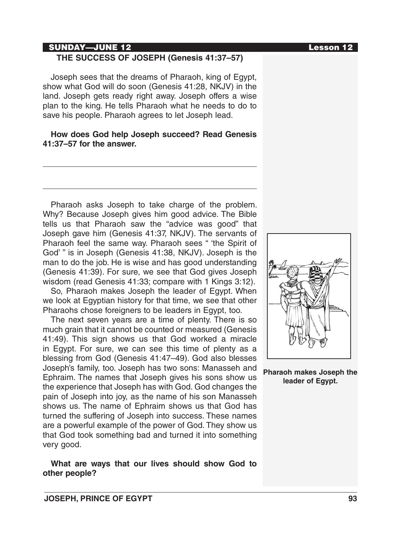# SUNDAY—JUNE 12 Lesson 12

### **THE SUCCESS OF JOSEPH (Genesis 41:37–57)**

Joseph sees that the dreams of Pharaoh, king of Egypt, show what God will do soon (Genesis 41:28, NKJV) in the land. Joseph gets ready right away. Joseph offers a wise plan to the king. He tells Pharaoh what he needs to do to save his people. Pharaoh agrees to let Joseph lead.

#### **How does God help Joseph succeed? Read Genesis 41:37–57 for the answer.**

Pharaoh asks Joseph to take charge of the problem. Why? Because Joseph gives him good advice. The Bible tells us that Pharaoh saw the "advice was good" that Joseph gave him (Genesis 41:37, NKJV). The servants of Pharaoh feel the same way. Pharaoh sees " 'the Spirit of God' " is in Joseph (Genesis 41:38, NKJV). Joseph is the man to do the job. He is wise and has good understanding (Genesis 41:39). For sure, we see that God gives Joseph wisdom (read Genesis 41:33; compare with 1 Kings 3:12).

So, Pharaoh makes Joseph the leader of Egypt. When we look at Egyptian history for that time, we see that other Pharaohs chose foreigners to be leaders in Egypt, too.

The next seven years are a time of plenty. There is so much grain that it cannot be counted or measured (Genesis 41:49). This sign shows us that God worked a miracle in Egypt. For sure, we can see this time of plenty as a blessing from God (Genesis 41:47–49). God also blesses Joseph's family, too. Joseph has two sons: Manasseh and Ephraim. The names that Joseph gives his sons show us the experience that Joseph has with God. God changes the pain of Joseph into joy, as the name of his son Manasseh shows us. The name of Ephraim shows us that God has turned the suffering of Joseph into success. These names are a powerful example of the power of God. They show us that God took something bad and turned it into something very good.

## **What are ways that our lives should show God to other people?**





**Pharaoh makes Joseph the leader of Egypt.**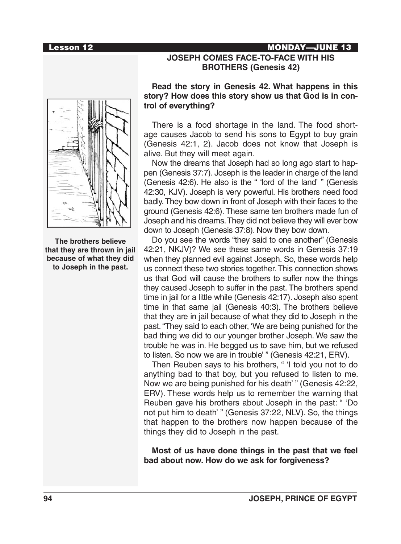# Lesson 12 MONDAY—JUNE 13



**The brothers believe that they are thrown in jail because of what they did to Joseph in the past.**

## **JOSEPH COMES FACE-TO-FACE WITH HIS BROTHERS (Genesis 42)**

#### **Read the story in Genesis 42. What happens in this story? How does this story show us that God is in control of everything?**

There is a food shortage in the land. The food shortage causes Jacob to send his sons to Egypt to buy grain (Genesis 42:1, 2). Jacob does not know that Joseph is alive. But they will meet again.

Now the dreams that Joseph had so long ago start to happen (Genesis 37:7). Joseph is the leader in charge of the land (Genesis 42:6). He also is the " 'lord of the land' " (Genesis 42:30, KJV). Joseph is very powerful. His brothers need food badly. They bow down in front of Joseph with their faces to the ground (Genesis 42:6). These same ten brothers made fun of Joseph and his dreams. They did not believe they will ever bow down to Joseph (Genesis 37:8). Now they bow down.

Do you see the words "they said to one another" (Genesis 42:21, NKJV)? We see these same words in Genesis 37:19 when they planned evil against Joseph. So, these words help us connect these two stories together. This connection shows us that God will cause the brothers to suffer now the things they caused Joseph to suffer in the past. The brothers spend time in jail for a little while (Genesis 42:17). Joseph also spent time in that same jail (Genesis 40:3). The brothers believe that they are in jail because of what they did to Joseph in the past. "They said to each other, 'We are being punished for the bad thing we did to our younger brother Joseph. We saw the trouble he was in. He begged us to save him, but we refused to listen. So now we are in trouble' " (Genesis 42:21, ERV).

Then Reuben says to his brothers, " 'I told you not to do anything bad to that boy, but you refused to listen to me. Now we are being punished for his death' " (Genesis 42:22, ERV). These words help us to remember the warning that Reuben gave his brothers about Joseph in the past: " 'Do not put him to death' " (Genesis 37:22, NLV). So, the things that happen to the brothers now happen because of the things they did to Joseph in the past.

**Most of us have done things in the past that we feel bad about now. How do we ask for forgiveness?**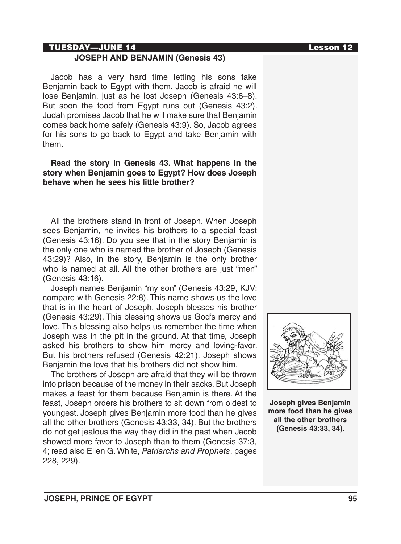#### TUESDAY—JUNE 14 Lesson 12

## **JOSEPH AND BENJAMIN (Genesis 43)**

Jacob has a very hard time letting his sons take Benjamin back to Egypt with them. Jacob is afraid he will lose Benjamin, just as he lost Joseph (Genesis 43:6–8). But soon the food from Egypt runs out (Genesis 43:2). Judah promises Jacob that he will make sure that Benjamin comes back home safely (Genesis 43:9). So, Jacob agrees for his sons to go back to Egypt and take Benjamin with them.

**Read the story in Genesis 43. What happens in the story when Benjamin goes to Egypt? How does Joseph behave when he sees his little brother?**

All the brothers stand in front of Joseph. When Joseph sees Benjamin, he invites his brothers to a special feast (Genesis 43:16). Do you see that in the story Benjamin is the only one who is named the brother of Joseph (Genesis 43:29)? Also, in the story, Benjamin is the only brother who is named at all. All the other brothers are just "men" (Genesis 43:16).

Joseph names Benjamin "my son" (Genesis 43:29, KJV; compare with Genesis 22:8). This name shows us the love that is in the heart of Joseph. Joseph blesses his brother (Genesis 43:29). This blessing shows us God's mercy and love. This blessing also helps us remember the time when Joseph was in the pit in the ground. At that time, Joseph asked his brothers to show him mercy and loving-favor. But his brothers refused (Genesis 42:21). Joseph shows Benjamin the love that his brothers did not show him.

The brothers of Joseph are afraid that they will be thrown into prison because of the money in their sacks. But Joseph makes a feast for them because Benjamin is there. At the feast, Joseph orders his brothers to sit down from oldest to youngest. Joseph gives Benjamin more food than he gives all the other brothers (Genesis 43:33, 34). But the brothers do not get jealous the way they did in the past when Jacob showed more favor to Joseph than to them (Genesis 37:3, 4; read also Ellen G. White, *Patriarchs and Prophets*, pages 228, 229).



**Joseph gives Benjamin more food than he gives all the other brothers (Genesis 43:33, 34).**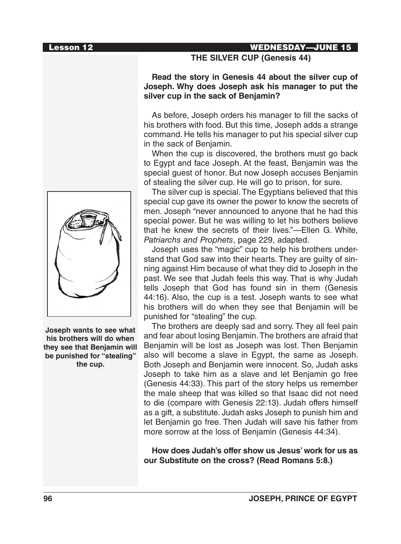

**Joseph wants to see what his brothers will do when they see that Benjamin will be punished for "stealing" the cup.**

## Lesson 12 WEDNESDAY—JUNE 15

**THE SILVER CUP (Genesis 44)**

**Read the story in Genesis 44 about the silver cup of Joseph. Why does Joseph ask his manager to put the silver cup in the sack of Benjamin?**

As before, Joseph orders his manager to fill the sacks of his brothers with food. But this time, Joseph adds a strange command. He tells his manager to put his special silver cup in the sack of Benjamin.

When the cup is discovered, the brothers must go back to Egypt and face Joseph. At the feast, Benjamin was the special guest of honor. But now Joseph accuses Benjamin of stealing the silver cup. He will go to prison, for sure.

The silver cup is special. The Egyptians believed that this special cup gave its owner the power to know the secrets of men. Joseph "never announced to anyone that he had this special power. But he was willing to let his bothers believe that he knew the secrets of their lives."—Ellen G. White, *Patriarchs and Prophets*, page 229, adapted.

Joseph uses the "magic" cup to help his brothers understand that God saw into their hearts. They are guilty of sinning against Him because of what they did to Joseph in the past. We see that Judah feels this way. That is why Judah tells Joseph that God has found sin in them (Genesis 44:16). Also, the cup is a test. Joseph wants to see what his brothers will do when they see that Benjamin will be punished for "stealing" the cup.

The brothers are deeply sad and sorry. They all feel pain and fear about losing Benjamin. The brothers are afraid that Benjamin will be lost as Joseph was lost. Then Benjamin also will become a slave in Egypt, the same as Joseph. Both Joseph and Benjamin were innocent. So, Judah asks Joseph to take him as a slave and let Benjamin go free (Genesis 44:33). This part of the story helps us remember the male sheep that was killed so that Isaac did not need to die (compare with Genesis 22:13). Judah offers himself as a gift, a substitute. Judah asks Joseph to punish him and let Benjamin go free. Then Judah will save his father from more sorrow at the loss of Benjamin (Genesis 44:34).

**How does Judah's offer show us Jesus' work for us as our Substitute on the cross? (Read Romans 5:8.)**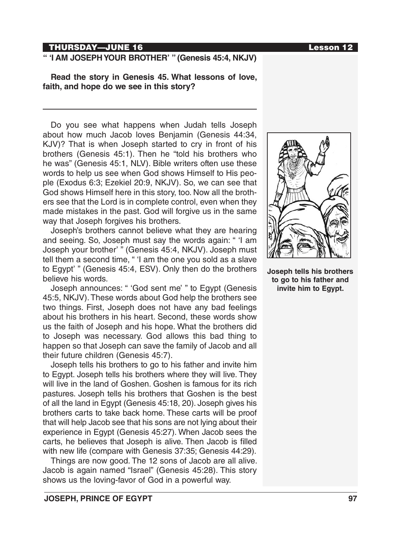#### THURSDAY—JUNE 16 Lesson 12

## **" 'I AM JOSEPH YOUR BROTHER' " (Genesis 45:4, NKJV)**

**Read the story in Genesis 45. What lessons of love, faith, and hope do we see in this story?**

Do you see what happens when Judah tells Joseph about how much Jacob loves Benjamin (Genesis 44:34, KJV)? That is when Joseph started to cry in front of his brothers (Genesis 45:1). Then he "told his brothers who he was" (Genesis 45:1, NLV). Bible writers often use these words to help us see when God shows Himself to His people (Exodus 6:3; Ezekiel 20:9, NKJV). So, we can see that God shows Himself here in this story, too. Now all the brothers see that the Lord is in complete control, even when they made mistakes in the past. God will forgive us in the same way that Joseph forgives his brothers.

Joseph's brothers cannot believe what they are hearing and seeing. So, Joseph must say the words again: " 'I am Joseph your brother' " (Genesis 45:4, NKJV). Joseph must tell them a second time, " 'I am the one you sold as a slave to Egypt' " (Genesis 45:4, ESV). Only then do the brothers believe his words.

Joseph announces: " 'God sent me' " to Egypt (Genesis 45:5, NKJV). These words about God help the brothers see two things. First, Joseph does not have any bad feelings about his brothers in his heart. Second, these words show us the faith of Joseph and his hope. What the brothers did to Joseph was necessary. God allows this bad thing to happen so that Joseph can save the family of Jacob and all their future children (Genesis 45:7).

Joseph tells his brothers to go to his father and invite him to Egypt. Joseph tells his brothers where they will live. They will live in the land of Goshen. Goshen is famous for its rich pastures. Joseph tells his brothers that Goshen is the best of all the land in Egypt (Genesis 45:18, 20). Joseph gives his brothers carts to take back home. These carts will be proof that will help Jacob see that his sons are not lying about their experience in Egypt (Genesis 45:27). When Jacob sees the carts, he believes that Joseph is alive. Then Jacob is filled with new life (compare with Genesis 37:35; Genesis 44:29).

Things are now good. The 12 sons of Jacob are all alive. Jacob is again named "Israel" (Genesis 45:28). This story shows us the loving-favor of God in a powerful way.



**Joseph tells his brothers to go to his father and invite him to Egypt.**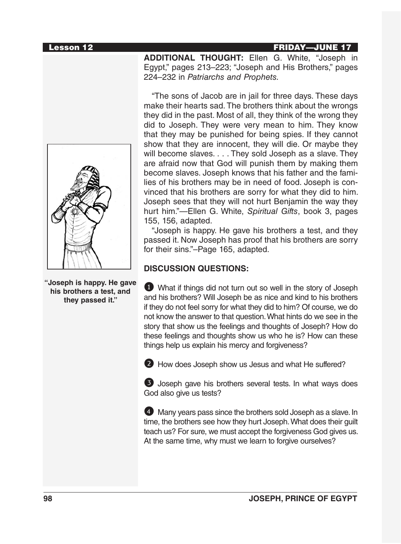#### Lesson 12 FRIDAY—JUNE 17



**"Joseph is happy. He gave his brothers a test, and they passed it."**

**ADDITIONAL THOUGHT:** Ellen G. White, "Joseph in Egypt," pages 213–223; "Joseph and His Brothers," pages 224–232 in *Patriarchs and Prophets.*

"The sons of Jacob are in jail for three days. These days make their hearts sad. The brothers think about the wrongs they did in the past. Most of all, they think of the wrong they did to Joseph. They were very mean to him. They know that they may be punished for being spies. If they cannot show that they are innocent, they will die. Or maybe they will become slaves. . . . They sold Joseph as a slave. They are afraid now that God will punish them by making them become slaves. Joseph knows that his father and the families of his brothers may be in need of food. Joseph is convinced that his brothers are sorry for what they did to him. Joseph sees that they will not hurt Benjamin the way they hurt him."—Ellen G. White, *Spiritual Gifts*, book 3, pages 155, 156, adapted.

"Joseph is happy. He gave his brothers a test, and they passed it. Now Joseph has proof that his brothers are sorry for their sins."–Page 165, adapted.

## **DISCUSSION QUESTIONS:**

1 What if things did not turn out so well in the story of Joseph and his brothers? Will Joseph be as nice and kind to his brothers if they do not feel sorry for what they did to him? Of course, we do not know the answer to that question. What hints do we see in the story that show us the feelings and thoughts of Joseph? How do these feelings and thoughts show us who he is? How can these things help us explain his mercy and forgiveness?

2 How does Joseph show us Jesus and what He suffered?

3 Joseph gave his brothers several tests. In what ways does God also give us tests?

4 Many years pass since the brothers sold Joseph as a slave. In time, the brothers see how they hurt Joseph. What does their guilt teach us? For sure, we must accept the forgiveness God gives us. At the same time, why must we learn to forgive ourselves?